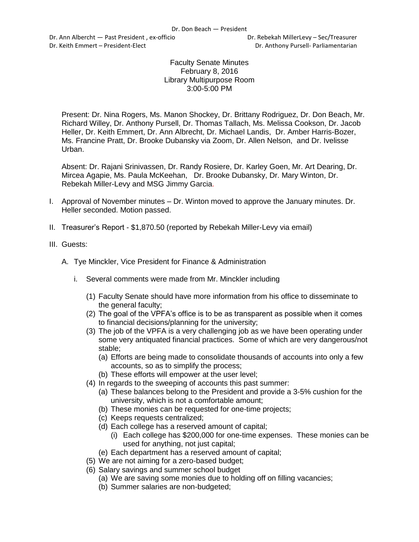Dr. Ann Albercht — Past President, ex-officio **Britannia and Contact Contact Contact** Dr. Rebekah MillerLevy – Sec/Treasurer Dr. Keith Emmert – President-Elect Dr. Anthony Pursell- Parliamentarian

## Faculty Senate Minutes February 8, 2016 Library Multipurpose Room 3:00-5:00 PM

Present: Dr. Nina Rogers, Ms. Manon Shockey, Dr. Brittany Rodriguez, Dr. Don Beach, Mr. Richard Willey, Dr. Anthony Pursell, Dr. Thomas Tallach, Ms. Melissa Cookson, Dr. Jacob Heller, Dr. Keith Emmert, Dr. Ann Albrecht, Dr. Michael Landis, Dr. Amber Harris-Bozer, Ms. Francine Pratt, Dr. Brooke Dubansky via Zoom, Dr. Allen Nelson, and Dr. Ivelisse Urban.

Absent: Dr. Rajani Srinivassen, Dr. Randy Rosiere, Dr. Karley Goen, Mr. Art Dearing, Dr. Mircea Agapie, Ms. Paula McKeehan, Dr. Brooke Dubansky, Dr. Mary Winton, Dr. Rebekah Miller-Levy and MSG Jimmy Garcia.

- I. Approval of November minutes Dr. Winton moved to approve the January minutes. Dr. Heller seconded. Motion passed.
- II. Treasurer's Report \$1,870.50 (reported by Rebekah Miller-Levy via email)
- III. Guests:
	- A. Tye Minckler, Vice President for Finance & Administration
		- i. Several comments were made from Mr. Minckler including
			- (1) Faculty Senate should have more information from his office to disseminate to the general faculty;
			- (2) The goal of the VPFA's office is to be as transparent as possible when it comes to financial decisions/planning for the university;
			- (3) The job of the VPFA is a very challenging job as we have been operating under some very antiquated financial practices. Some of which are very dangerous/not stable;
				- (a) Efforts are being made to consolidate thousands of accounts into only a few accounts, so as to simplify the process;
				- (b) These efforts will empower at the user level;
			- (4) In regards to the sweeping of accounts this past summer:
				- (a) These balances belong to the President and provide a 3-5% cushion for the university, which is not a comfortable amount;
				- (b) These monies can be requested for one-time projects;
				- (c) Keeps requests centralized;
				- (d) Each college has a reserved amount of capital;
					- (i) Each college has \$200,000 for one-time expenses. These monies can be used for anything, not just capital;
				- (e) Each department has a reserved amount of capital;
			- (5) We are not aiming for a zero-based budget;
			- (6) Salary savings and summer school budget
				- (a) We are saving some monies due to holding off on filling vacancies;
				- (b) Summer salaries are non-budgeted;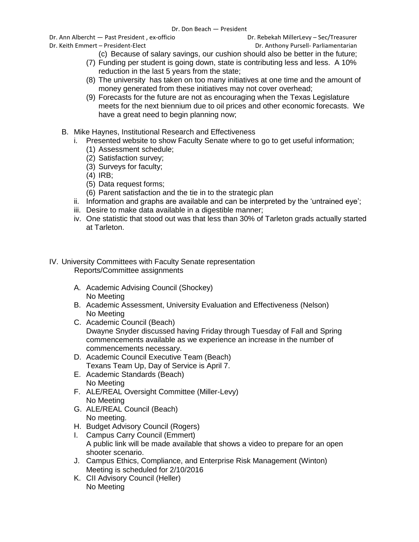Dr. Ann Albercht — Past President, ex-officio **Britannia and Contact Contact Contact** Dr. Rebekah MillerLevy – Sec/Treasurer

Dr. Keith Emmert – President-Elect Dr. Anthony Pursell- Parliamentarian

- (c) Because of salary savings, our cushion should also be better in the future;
- (7) Funding per student is going down, state is contributing less and less. A 10% reduction in the last 5 years from the state;
- (8) The university has taken on too many initiatives at one time and the amount of money generated from these initiatives may not cover overhead;
- (9) Forecasts for the future are not as encouraging when the Texas Legislature meets for the next biennium due to oil prices and other economic forecasts. We have a great need to begin planning now;
- B. Mike Haynes, Institutional Research and Effectiveness
	- i. Presented website to show Faculty Senate where to go to get useful information;
		- (1) Assessment schedule;
		- (2) Satisfaction survey;
		- (3) Surveys for faculty;
		- (4) IRB;
		- (5) Data request forms;
		- (6) Parent satisfaction and the tie in to the strategic plan
	- ii. Information and graphs are available and can be interpreted by the 'untrained eye';
	- iii. Desire to make data available in a digestible manner;
	- iv. One statistic that stood out was that less than 30% of Tarleton grads actually started at Tarleton.
- IV. University Committees with Faculty Senate representation Reports/Committee assignments
	- A. Academic Advising Council (Shockey) No Meeting
	- B. Academic Assessment, University Evaluation and Effectiveness (Nelson) No Meeting
	- C. Academic Council (Beach) Dwayne Snyder discussed having Friday through Tuesday of Fall and Spring commencements available as we experience an increase in the number of commencements necessary.
	- D. Academic Council Executive Team (Beach) Texans Team Up, Day of Service is April 7.
	- E. Academic Standards (Beach) No Meeting
	- F. ALE/REAL Oversight Committee (Miller-Levy) No Meeting
	- G. ALE/REAL Council (Beach) No meeting.
	- H. Budget Advisory Council (Rogers)
	- I. Campus Carry Council (Emmert) A public link will be made available that shows a video to prepare for an open shooter scenario.
	- J. Campus Ethics, Compliance, and Enterprise Risk Management (Winton) Meeting is scheduled for 2/10/2016
	- K. CII Advisory Council (Heller) No Meeting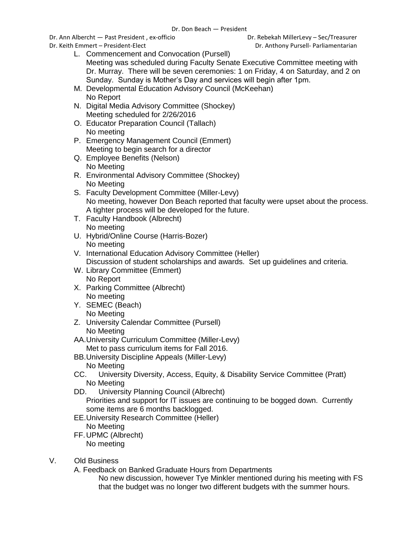Dr. Ann Albercht — Past President, ex-officio **Britannia and Contact Contact Contact** Dr. Rebekah MillerLevy – Sec/Treasurer

- L. Commencement and Convocation (Pursell) Meeting was scheduled during Faculty Senate Executive Committee meeting with Dr. Murray. There will be seven ceremonies: 1 on Friday, 4 on Saturday, and 2 on Sunday. Sunday is Mother's Day and services will begin after 1pm.
- M. Developmental Education Advisory Council (McKeehan) No Report
- N. Digital Media Advisory Committee (Shockey) Meeting scheduled for 2/26/2016
- O. Educator Preparation Council (Tallach) No meeting
- P. Emergency Management Council (Emmert) Meeting to begin search for a director
- Q. Employee Benefits (Nelson) No Meeting
- R. Environmental Advisory Committee (Shockey) No Meeting
- S. Faculty Development Committee (Miller-Levy) No meeting, however Don Beach reported that faculty were upset about the process. A tighter process will be developed for the future.
- T. Faculty Handbook (Albrecht) No meeting
- U. Hybrid/Online Course (Harris-Bozer) No meeting
- V. International Education Advisory Committee (Heller) Discussion of student scholarships and awards. Set up guidelines and criteria.
- W. Library Committee (Emmert) No Report
- X. Parking Committee (Albrecht) No meeting
- Y. SEMEC (Beach) No Meeting
- Z. University Calendar Committee (Pursell) No Meeting
- AA.University Curriculum Committee (Miller-Levy) Met to pass curriculum items for Fall 2016.
- BB.University Discipline Appeals (Miller-Levy) No Meeting
- CC. University Diversity, Access, Equity, & Disability Service Committee (Pratt) No Meeting
- DD. University Planning Council (Albrecht) Priorities and support for IT issues are continuing to be bogged down. Currently some items are 6 months backlogged.
- EE.University Research Committee (Heller) No Meeting FF.UPMC (Albrecht)
- No meeting
- V. Old Business

A. Feedback on Banked Graduate Hours from Departments

No new discussion, however Tye Minkler mentioned during his meeting with FS that the budget was no longer two different budgets with the summer hours.